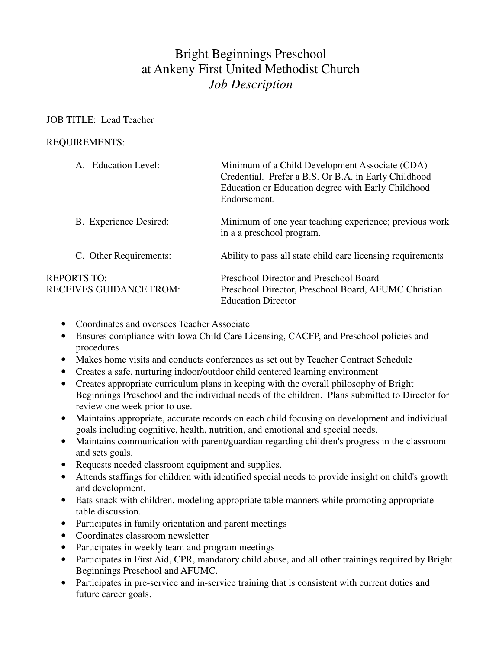# Bright Beginnings Preschool at Ankeny First United Methodist Church *Job Description*

## JOB TITLE: Lead Teacher

## REQUIREMENTS:

| A. Education Level:                                  | Minimum of a Child Development Associate (CDA)<br>Credential. Prefer a B.S. Or B.A. in Early Childhood<br>Education or Education degree with Early Childhood<br>Endorsement. |
|------------------------------------------------------|------------------------------------------------------------------------------------------------------------------------------------------------------------------------------|
| B. Experience Desired:                               | Minimum of one year teaching experience; previous work<br>in a a preschool program.                                                                                          |
| C. Other Requirements:                               | Ability to pass all state child care licensing requirements                                                                                                                  |
| <b>REPORTS TO:</b><br><b>RECEIVES GUIDANCE FROM:</b> | Preschool Director and Preschool Board<br>Preschool Director, Preschool Board, AFUMC Christian<br><b>Education Director</b>                                                  |

- Coordinates and oversees Teacher Associate
- Ensures compliance with Iowa Child Care Licensing, CACFP, and Preschool policies and procedures
- Makes home visits and conducts conferences as set out by Teacher Contract Schedule
- Creates a safe, nurturing indoor/outdoor child centered learning environment
- Creates appropriate curriculum plans in keeping with the overall philosophy of Bright Beginnings Preschool and the individual needs of the children. Plans submitted to Director for review one week prior to use.
- Maintains appropriate, accurate records on each child focusing on development and individual goals including cognitive, health, nutrition, and emotional and special needs.
- Maintains communication with parent/guardian regarding children's progress in the classroom and sets goals.
- Requests needed classroom equipment and supplies.
- Attends staffings for children with identified special needs to provide insight on child's growth and development.
- Eats snack with children, modeling appropriate table manners while promoting appropriate table discussion.
- Participates in family orientation and parent meetings
- Coordinates classroom newsletter
- Participates in weekly team and program meetings
- Participates in First Aid, CPR, mandatory child abuse, and all other trainings required by Bright Beginnings Preschool and AFUMC.
- Participates in pre-service and in-service training that is consistent with current duties and future career goals.